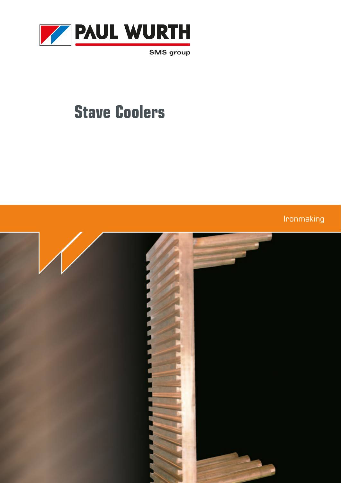

**SMS** group

# **Stave Coolers**

Ironmaking

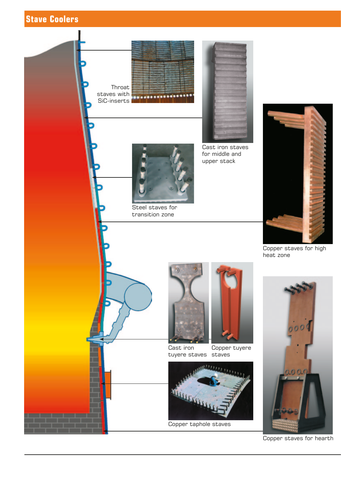



Copper staves for hearth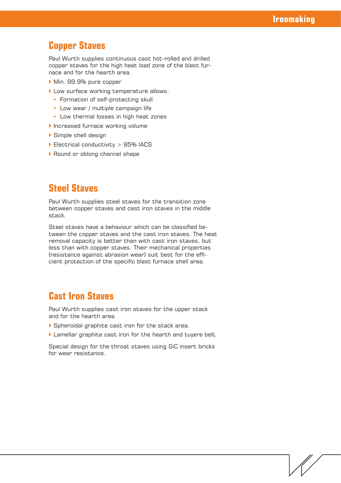## **Copper Staves**

Paul Wurth supplies continuous cast hot-rolled and drilled copper staves for the high heat load zone of the blast furnace and for the hearth area.

- Min. 99.9% pure copper
- ` Low surface working temperature allows:
	- Formation of self-protecting skull
	- Low wear / multiple campaign life
	- Low thermal losses in high heat zones
- **Increased furnace working volume**
- ` Simple shell design
- $\blacktriangleright$  Electrical conductivity  $> 95\%$  IACS
- ▶ Round or oblong channel shape

## **Steel Staves**

Paul Wurth supplies steel staves for the transition zone between copper staves and cast iron staves in the middle stack.

Steel staves have a behaviour which can be classified between the copper staves and the cast iron staves. The heat removal capacity is better than with cast iron staves, but less than with copper staves. Their mechanical properties (resistance against abrasion wear) suit best for the efficient protection of the specific blast furnace shell area.

### **Cast Iron Staves**

Paul Wurth supplies cast iron staves for the upper stack and for the hearth area.

- ` Spheroïdal graphite cast iron for the stack area.
- I Lamellar graphite cast iron for the hearth and tuyere belt.

Special design for the throat staves using SiC insert bricks for wear resistance.